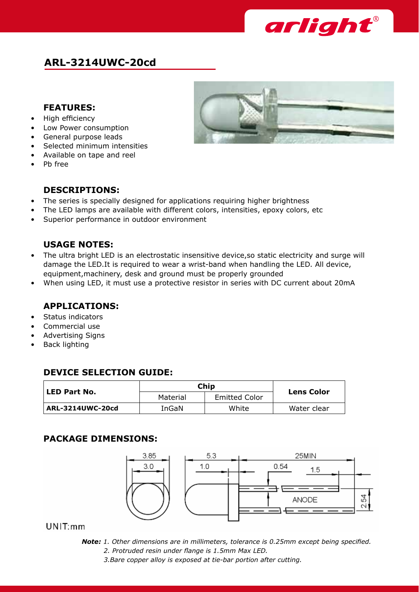

# **ARL-3214UWC-20cd**

#### **Features:**

- • High efficiency
- • Low Power consumption
- • General purpose leads
- Selected minimum intensities
- • Available on tape and reel
- Ph free

## **Descriptions:**

- The series is specially designed for applications requiring higher brightness
- The LED lamps are available with different colors, intensities, epoxy colors, etc
- Superior performance in outdoor environment

### **Usage Notes:**

- The ultra bright LED is an electrostatic insensitive device, so static electricity and surge will damage the LED.It is required to wear a wrist-band when handling the LED. All device, equipment,machinery, desk and ground must be properly grounded
- When using LED, it must use a protective resistor in series with DC current about 20mA

#### **Applications:**

- • Status indicators
- • Commercial use
- Advertising Signs
- **Back lighting**

#### **Device Selection Guide:**

| l LED Part No.   | Chip     | <b>Lens Color</b>    |             |
|------------------|----------|----------------------|-------------|
|                  | Material | <b>Emitted Color</b> |             |
| ARL-3214UWC-20cd | InGaN    |                      | Water clear |

#### **Package Dimensions:**



 $UNIT:mm$ 

- *Note: 1. Other dimensions are in millimeters, tolerance is 0.25mm except being specified. 2. Protruded resin under flange is 1.5mm Max LED.*
	- *3.Bare copper alloy is exposed at tie-bar portion after cutting.*

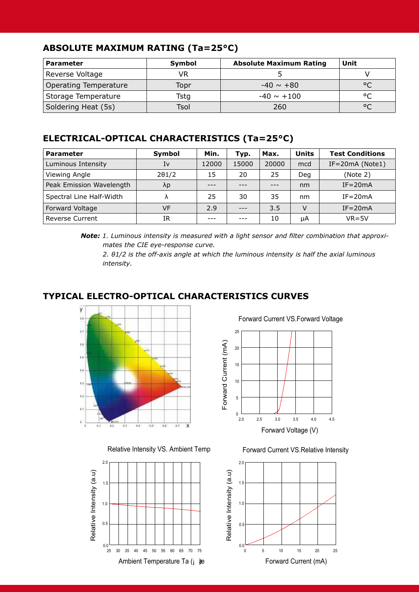## **Absolute Maximum Rating (Ta=25°C)**

| <b>Parameter</b>             | Symbol | <b>Absolute Maximum Rating</b> | Unit    |
|------------------------------|--------|--------------------------------|---------|
| Reverse Voltage              | VR     |                                |         |
| <b>Operating Temperature</b> | Topr   | $-40 \sim +80$                 | $\circ$ |
| Storage Temperature          | Tstq   | $-40 \sim +100$                | ൦൳      |
| Soldering Heat (5s)          | Tsol   | 260                            | $\circ$ |

## **Electrical-Optical Characteristics (Ta=25°C)**

| <b>Parameter</b>         | Symbol        | Min.  | Typ.  | Max.  | <b>Units</b> | <b>Test Conditions</b> |
|--------------------------|---------------|-------|-------|-------|--------------|------------------------|
| Luminous Intensity       | Iv            | 12000 | 15000 | 20000 | mcd          | $IF = 20mA (Note 1)$   |
| Viewing Angle            | $2\theta$ 1/2 | 15    | 20    | 25    | Deg          | (Note 2)               |
| Peak Emission Wavelength | λp            |       |       |       | nm           | $IF = 20mA$            |
| Spectral Line Half-Width | ۸             | 25    | 30    | 35    | nm           | $IF = 20mA$            |
| Forward Voltage          | VF            | 2.9   | $---$ | 3.5   | $\vee$       | $IF = 20mA$            |
| <b>Reverse Current</b>   | IR            |       |       | 10    | μA           | $VR = 5V$              |

*Note: 1. Luminous intensity is measured with a light sensor and filter combination that approximates the CIE eye-response curve.*

*2. θ1/2 is the off-axis angle at which the luminous intensity is half the axial luminous intensity.*

## **Typical Electro-Optical Characteristics Curves**





Forward Current VS.Ambient Temp.

Forward Current VS.Forward Voltage